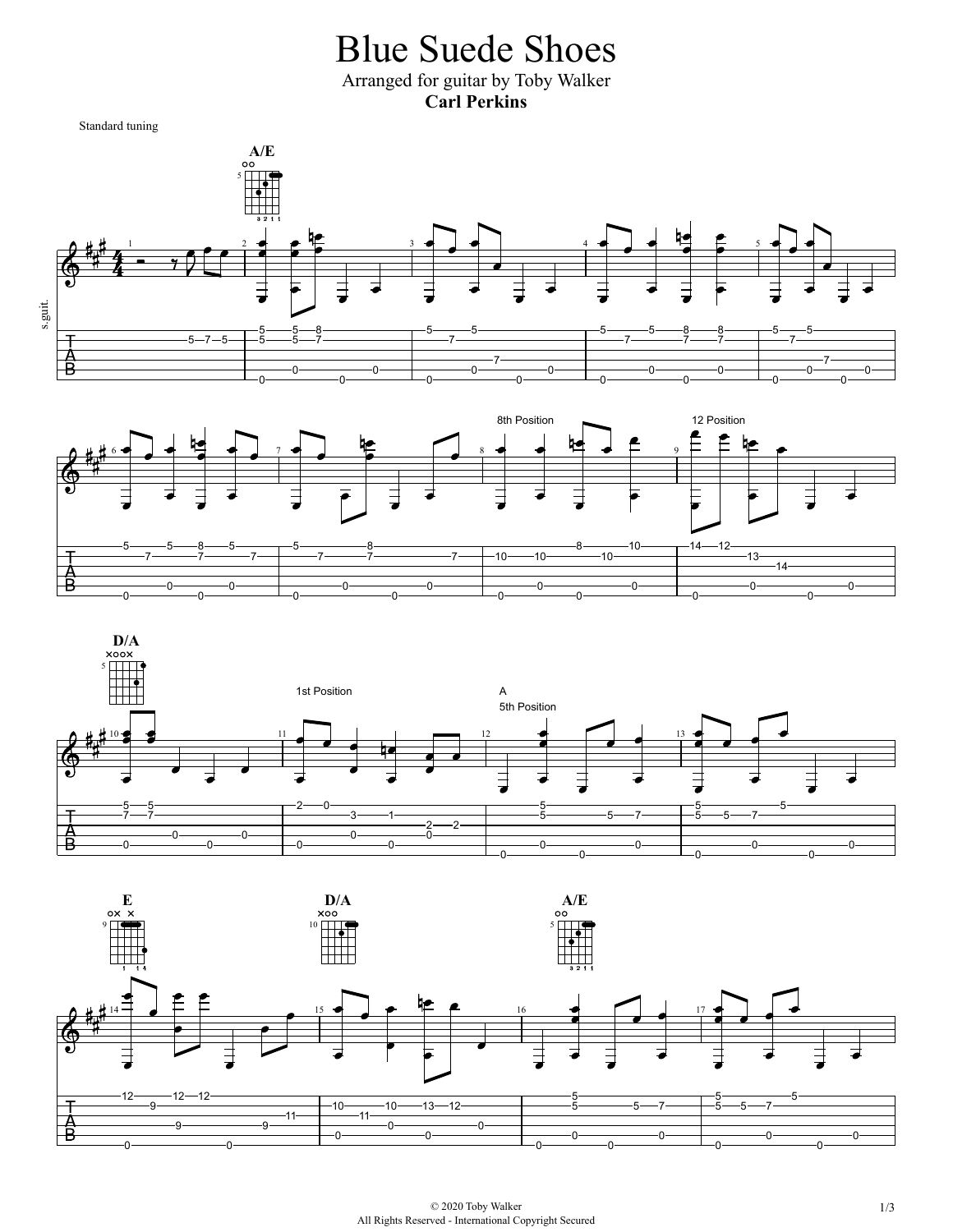Blue Suede Shoes Arranged for guitar by Toby Walker **Carl Perkins**

Standard tuning

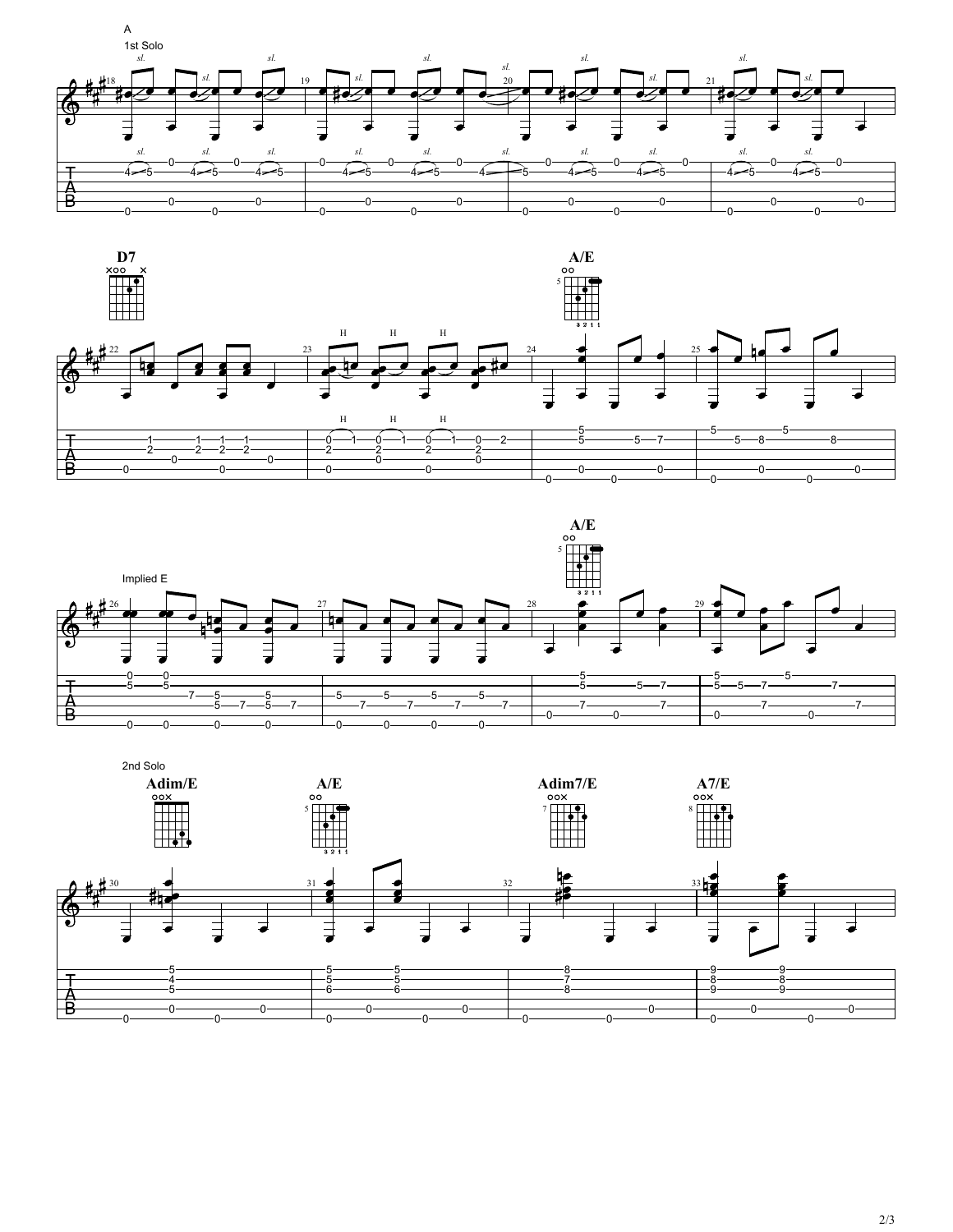